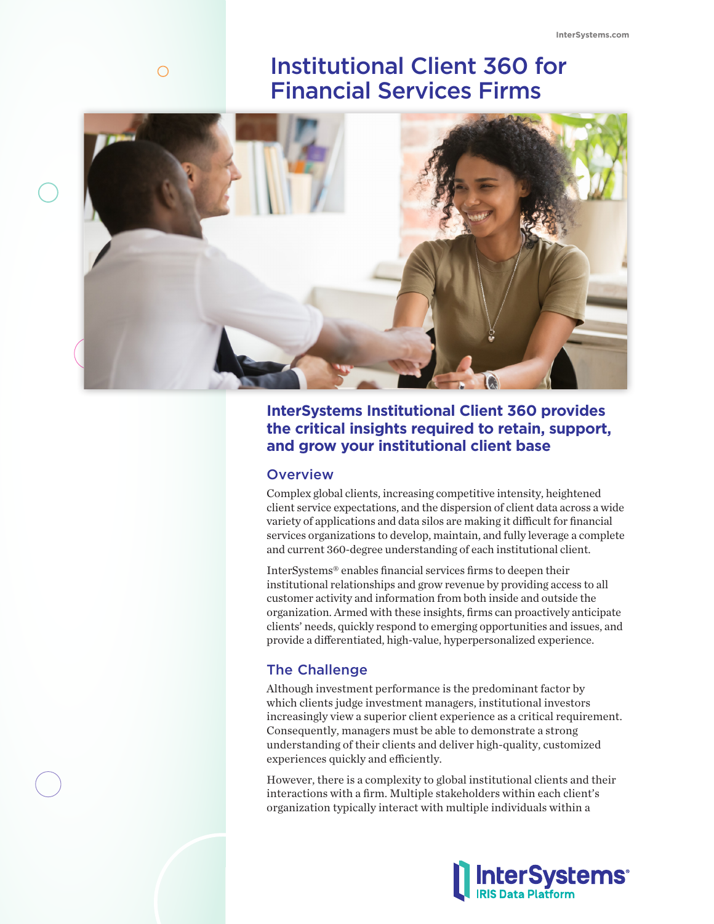# Institutional Client 360 for Financial Services Firms



# **InterSystems Institutional Client 360 provides the critical insights required to retain, support, and grow your institutional client base**

## **Overview**

 $\bigcirc$ 

Complex global clients, increasing competitive intensity, heightened client service expectations, and the dispersion of client data across a wide variety of applications and data silos are making it difficult for financial services organizations to develop, maintain, and fully leverage a complete and current 360-degree understanding of each institutional client.

InterSystems® enables financial services firms to deepen their institutional relationships and grow revenue by providing access to all customer activity and information from both inside and outside the organization. Armed with these insights, firms can proactively anticipate clients' needs, quickly respond to emerging opportunities and issues, and provide a differentiated, high-value, hyperpersonalized experience.

# The Challenge

Although investment performance is the predominant factor by which clients judge investment managers, institutional investors increasingly view a superior client experience as a critical requirement. Consequently, managers must be able to demonstrate a strong understanding of their clients and deliver high-quality, customized experiences quickly and efficiently.

However, there is a complexity to global institutional clients and their interactions with a firm. Multiple stakeholders within each client's organization typically interact with multiple individuals within a

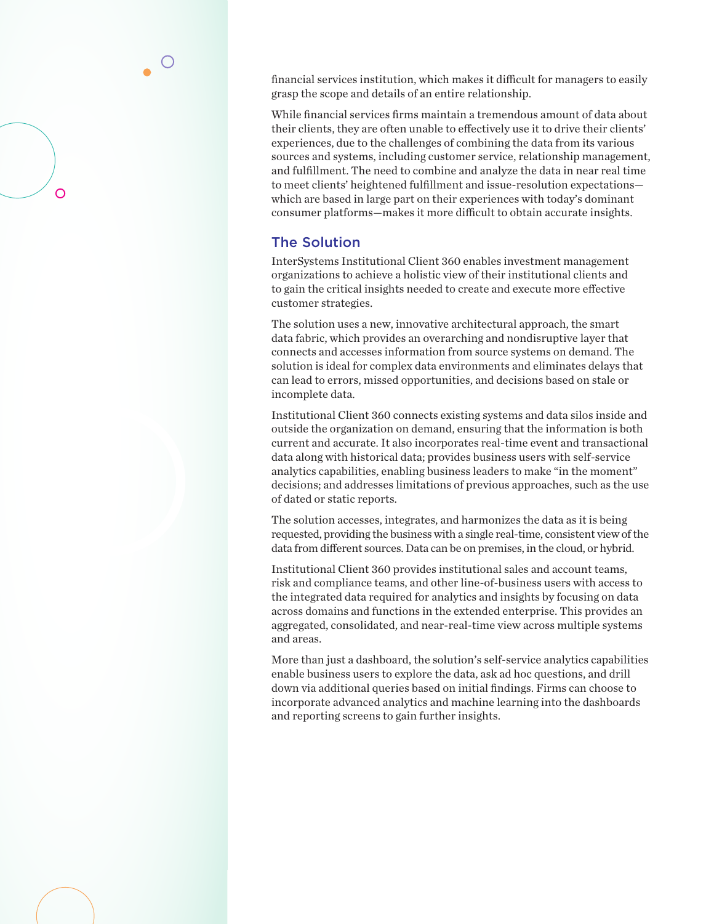financial services institution, which makes it difficult for managers to easily grasp the scope and details of an entire relationship.

While financial services firms maintain a tremendous amount of data about their clients, they are often unable to effectively use it to drive their clients' experiences, due to the challenges of combining the data from its various sources and systems, including customer service, relationship management, and fulfillment. The need to combine and analyze the data in near real time to meet clients' heightened fulfillment and issue-resolution expectations which are based in large part on their experiences with today's dominant consumer platforms—makes it more difficult to obtain accurate insights.

## The Solution

 $\overline{O}$ 

InterSystems Institutional Client 360 enables investment management organizations to achieve a holistic view of their institutional clients and to gain the critical insights needed to create and execute more effective customer strategies.

The solution uses a new, innovative architectural approach, the smart data fabric, which provides an overarching and nondisruptive layer that connects and accesses information from source systems on demand. The solution is ideal for complex data environments and eliminates delays that can lead to errors, missed opportunities, and decisions based on stale or incomplete data.

Institutional Client 360 connects existing systems and data silos inside and outside the organization on demand, ensuring that the information is both current and accurate. It also incorporates real-time event and transactional data along with historical data; provides business users with self-service analytics capabilities, enabling business leaders to make "in the moment" decisions; and addresses limitations of previous approaches, such as the use of dated or static reports.

The solution accesses, integrates, and harmonizes the data as it is being requested, providing the business with a single real-time, consistent view of the data from different sources. Data can be on premises, in the cloud, or hybrid.

Institutional Client 360 provides institutional sales and account teams, risk and compliance teams, and other line-of-business users with access to the integrated data required for analytics and insights by focusing on data across domains and functions in the extended enterprise. This provides an aggregated, consolidated, and near-real-time view across multiple systems and areas.

More than just a dashboard, the solution's self-service analytics capabilities enable business users to explore the data, ask ad hoc questions, and drill down via additional queries based on initial findings. Firms can choose to incorporate advanced analytics and machine learning into the dashboards and reporting screens to gain further insights.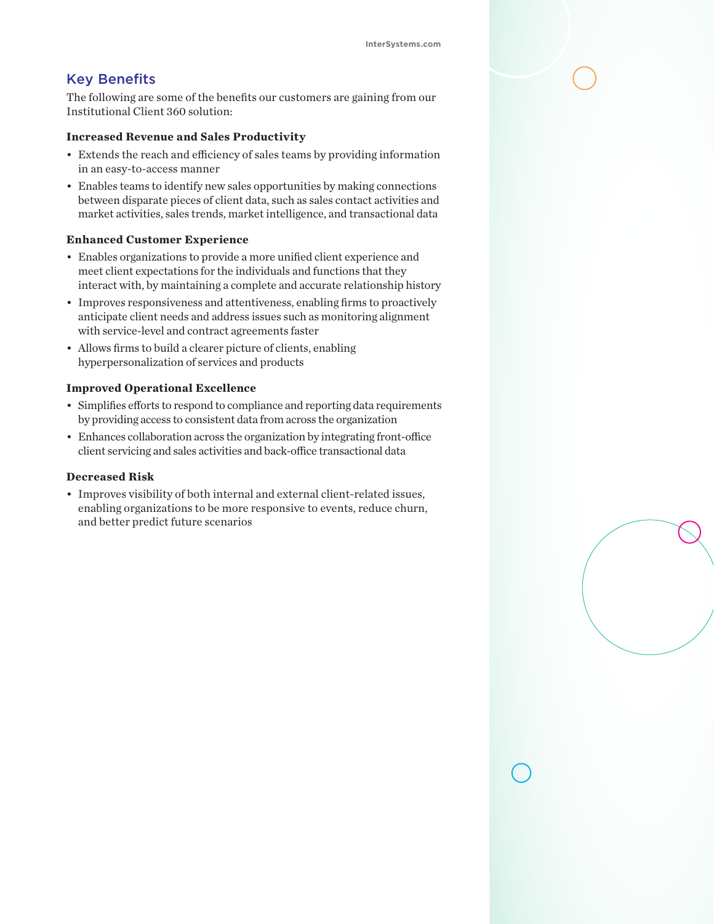# Key Benefits

The following are some of the benefits our customers are gaining from our Institutional Client 360 solution:

#### **Increased Revenue and Sales Productivity**

- Extends the reach and efficiency of sales teams by providing information in an easy-to-access manner
- Enables teams to identify new sales opportunities by making connections between disparate pieces of client data, such as sales contact activities and market activities, sales trends, market intelligence, and transactional data

#### **Enhanced Customer Experience**

- Enables organizations to provide a more unified client experience and meet client expectations for the individuals and functions that they interact with, by maintaining a complete and accurate relationship history
- Improves responsiveness and attentiveness, enabling firms to proactively anticipate client needs and address issues such as monitoring alignment with service-level and contract agreements faster
- Allows firms to build a clearer picture of clients, enabling hyperpersonalization of services and products

#### **Improved Operational Excellence**

- Simplifies efforts to respond to compliance and reporting data requirements by providing access to consistent data from across the organization
- Enhances collaboration across the organization by integrating front-office client servicing and sales activities and back-office transactional data

#### **Decreased Risk**

• Improves visibility of both internal and external client-related issues, enabling organizations to be more responsive to events, reduce churn, and better predict future scenarios